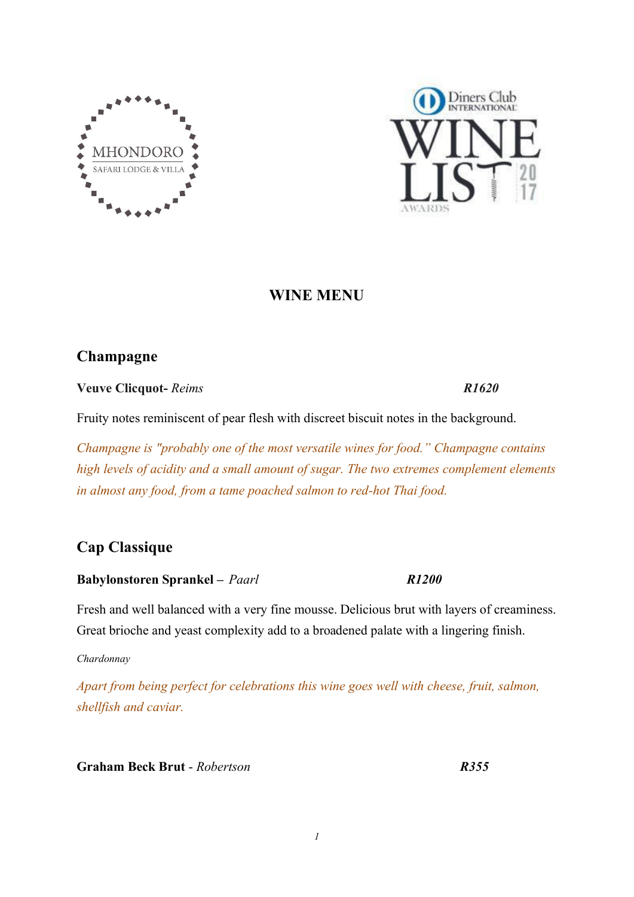



# **WINE MENU**

# **Champagne**

**Veuve Clicquot-** *Reims R1620*

Fruity notes reminiscent of pear flesh with discreet biscuit notes in the background.

*Champagne is "probably one of the most versatile wines for food." Champagne contains high levels of acidity and a small amount of sugar. The two extremes complement elements in almost any food, from a tame poached salmon to red-hot Thai food.*

# **Cap Classique**

# **Babylonstoren Sprankel –** *Paarl R1200*

Fresh and well balanced with a very fine mousse. Delicious brut with layers of creaminess. Great brioche and yeast complexity add to a broadened palate with a lingering finish.

*Chardonnay*

*Apart from being perfect for celebrations this wine goes well with cheese, fruit, salmon, shellfish and caviar.*

**Graham Beck Brut** - *Robertson R355*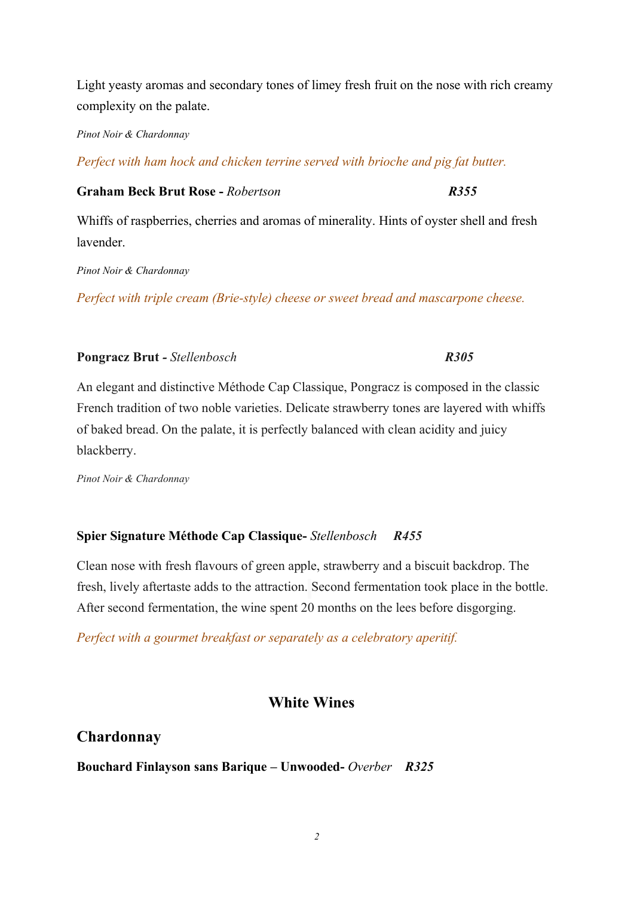Light yeasty aromas and secondary tones of limey fresh fruit on the nose with rich creamy complexity on the palate.

*Pinot Noir & Chardonnay*

*Perfect with ham hock and chicken terrine served with brioche and pig fat butter.*

**Graham Beck Brut Rose -** *Robertson R355*

Whiffs of raspberries, cherries and aromas of minerality. Hints of oyster shell and fresh lavender.

*Pinot Noir & Chardonnay*

*Perfect with triple cream (Brie-style) cheese or sweet bread and mascarpone cheese.*

### **Pongracz Brut** *-Stellenbosch**R305*

An elegant and distinctive Méthode Cap Classique, Pongracz is composed in the classic French tradition of two noble varieties. Delicate strawberry tones are layered with whiffs of baked bread. On the palate, it is perfectly balanced with clean acidity and juicy blackberry.

*Pinot Noir & Chardonnay*

# **Spier Signature Méthode Cap Classique-***Stellenbosch**R455*

Clean nose with fresh flavours of green apple, strawberry and a biscuit backdrop. The fresh, lively aftertaste adds to the attraction. Second fermentation took place in the bottle. After second fermentation, the wine spent 20 months on the lees before disgorging.

*Perfect with a gourmet breakfast or separately as a celebratory aperitif.*

# **White Wines**

# **Chardonnay**

**Bouchard Finlayson sans Barique – Unwooded-** *Overber R325*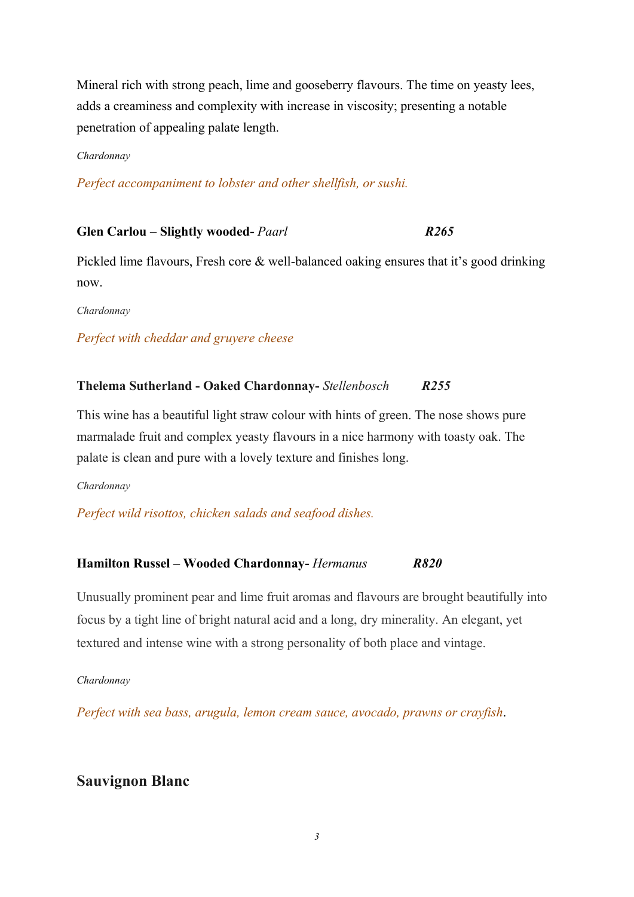Mineral rich with strong peach, lime and gooseberry flavours. The time on yeasty lees, adds a creaminess and complexity with increase in viscosity; presenting a notable penetration of appealing palate length.

#### *Chardonnay*

*Perfect accompaniment to lobster and other shellfish, or sushi.*

#### **Glen Carlou – Slightly wooded-** *Paarl R265*

Pickled lime flavours, Fresh core & well-balanced oaking ensures that it's good drinking now.

*Chardonnay*

#### *Perfect with [cheddar and gruyere](https://www.wine-searcher.com/food-wine-27-cheddar-and-gruyere) cheese*

#### **Thelema Sutherland - Oaked Chardonnay-***Stellenbosch R255*

This wine has a beautiful light straw colour with hints of green. The nose shows pure marmalade fruit and complex yeasty flavours in a nice harmony with toasty oak. The palate is clean and pure with a lovely texture and finishes long.

#### *Chardonnay*

*Perfect wild risottos, chicken salads and seafood dishes.*

#### **Hamilton Russel – Wooded Chardonnay-** *Hermanus**R820*

Unusually prominent pear and lime fruit aromas and flavours are brought beautifully into focus by a tight line of bright natural acid and a long, dry minerality. An elegant, yet textured and intense wine with a strong personality of both place and vintage.

#### *Chardonnay*

*Perfect with sea bass, arugula, lemon cream sauce, avocado, prawns or crayfish*.

# **Sauvignon Blanc**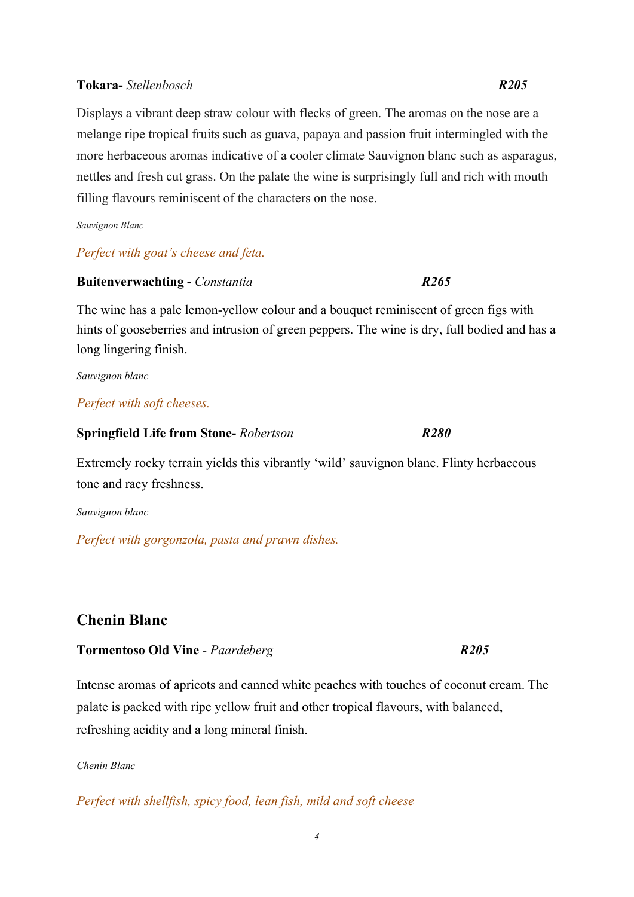#### **Tokara-***Stellenbosch R205*

Displays a vibrant deep straw colour with flecks of green. The aromas on the nose are a melange ripe tropical fruits such as guava, papaya and passion fruit intermingled with the more herbaceous aromas indicative of a cooler climate Sauvignon blanc such as asparagus, nettles and fresh cut grass. On the palate the wine is surprisingly full and rich with mouth filling flavours reminiscent of the characters on the nose.

*Sauvignon Blanc*

#### *Perfect with goat's cheese and feta.*

#### **Buitenverwachting-** *Constantia R265*

The wine has a pale lemon-yellow colour and a bouquet reminiscent of green figs with hints of gooseberries and intrusion of green peppers. The wine is dry, full bodied and has a long lingering finish.

*Sauvignon blanc*

#### *Perfect with soft cheeses.*

#### **Springfield Life from Stone-** *Robertson R280*

Extremely rocky terrain yields this vibrantly 'wild' sauvignon blanc. Flinty herbaceous tone and racy freshness.

*Sauvignon blanc*

*Perfect with gorgonzola, pasta and prawn dishes.*

# **Chenin Blanc**

#### **Tormentoso Old Vine** - *Paardeberg R205*

Intense aromas of apricots and canned white peaches with touches of coconut cream. The palate is packed with ripe yellow fruit and other tropical flavours, with balanced, refreshing acidity and a long mineral finish.

#### *Chenin Blanc*

*Perfect with [shellfish,](https://www.vivino.com/wine-news/food-pairing/shellfish) [spicy food,](https://www.vivino.com/wine-news/food-pairing/spicy-food) lean fish, mild and soft cheese*

*4*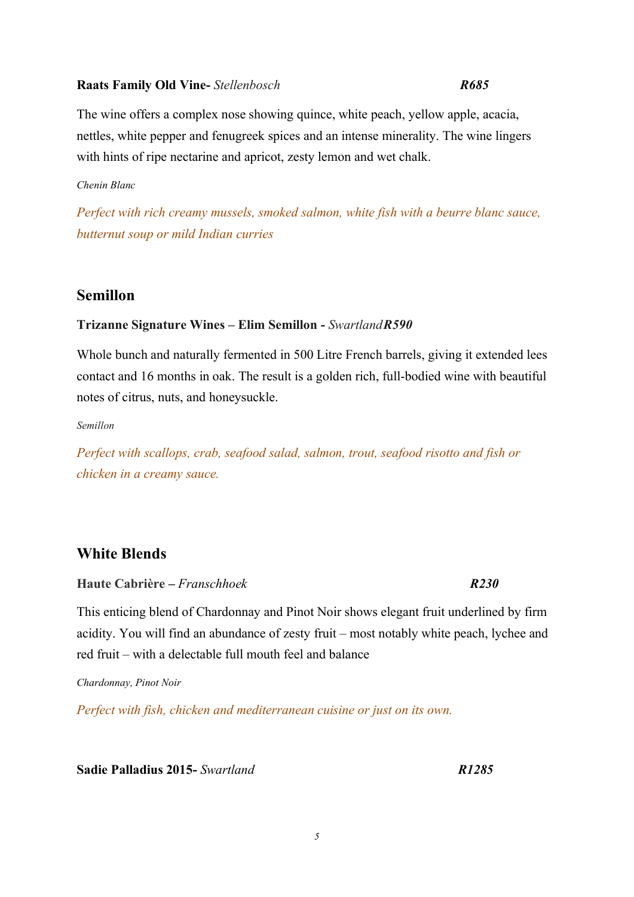#### **Raats Family Old Vine-***Stellenbosch R685*

The wine offers a complex nose showing quince, white peach, yellow apple, acacia, nettles, white pepper and fenugreek spices and an intense minerality. The wine lingers with hints of ripe nectarine and apricot, zesty lemon and wet chalk.

#### *Chenin Blanc*

*Perfect with rich creamy mussels, smoked salmon, white fish with a beurre blanc sauce, butternut soup or mild Indian curries*

# **Semillon**

### **Trizanne Signature Wines – Elim Semillon -***SwartlandR590*

Whole bunch and naturally fermented in 500 Litre French barrels, giving it extended lees contact and 16 months in oak. The result is a golden rich, full-bodied wine with beautiful notes of citrus, nuts, and honeysuckle.

*Semillon*

*Perfect with scallops, crab, seafood salad, salmon, trout, seafood risotto and fish or chicken in a creamy sauce.*

# **White Blends**

**Haute Cabrière –** *Franschhoek**R230*

This enticing blend of Chardonnay and Pinot Noir shows elegant fruit underlined by firm acidity. You will find an abundance of zesty fruit – most notably white peach, lychee and red fruit – with a delectable full mouth feel and balance

*Chardonnay, Pinot Noir*

*Perfect with fish, chicken and mediterranean cuisine or just on its own.*

**Sadie Palladius2015-***Swartland**R1285*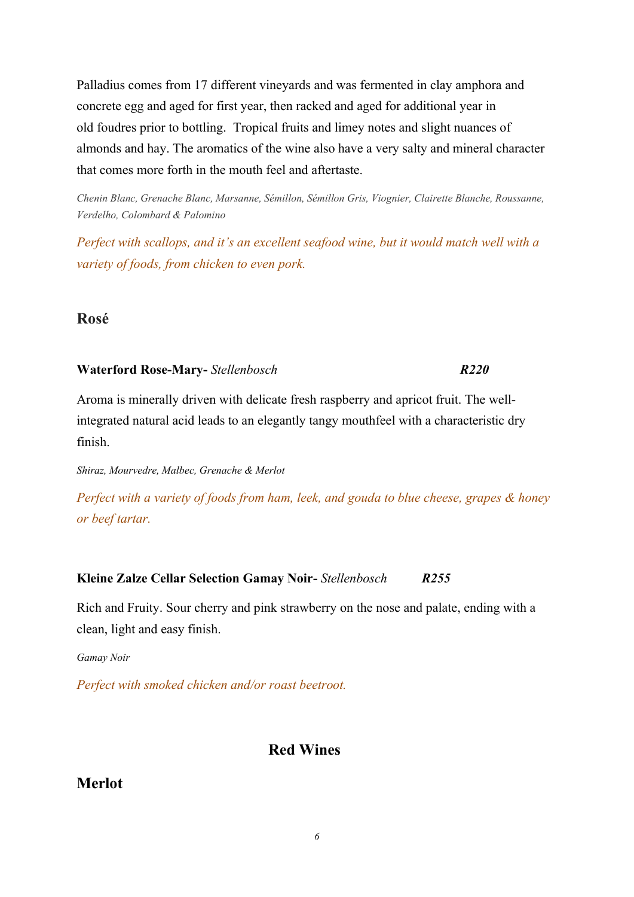Palladius comes from 17 different vineyards and was fermented in clay amphora and concrete egg and aged for first year, then racked and aged for additional year in old foudres prior to bottling. Tropical fruits and limey notes and slight nuances of almonds and hay. The aromatics of the wine also have a very salty and mineral character that comes more forth in the mouth feel and aftertaste.

*Chenin Blanc, Grenache Blanc, Marsanne, Sémillon, Sémillon Gris, Viognier, Clairette Blanche, Roussanne, Verdelho, Colombard & Palomino*

*Perfect with scallops, and it's an excellent seafood wine, but it would match well with a variety of foods, from chicken to even pork.*

# **Rosé**

#### **Waterford Rose-Mary-***Stellenbosch R220*

Aroma is minerally driven with delicate fresh raspberry and apricot fruit. The wellintegrated natural acid leads to an elegantly tangy mouthfeel with a characteristic dry finish.

*Shiraz, Mourvedre, Malbec, Grenache & Merlot*

*Perfect with a variety of foods from ham, leek, and gouda to blue cheese, grapes & honey orbeef tartar.*

# **Kleine Zalze Cellar Selection Gamay Noir-***[Stellenbosch](https://www.wine-searcher.com/regions-stellenbosch) R255*

[Rich and Fruity.](https://www.wine-searcher.com/styles-10-rose-rich-and-fruity) Sour cherry and pink strawberry on the nose and palate, ending with a clean, light and easy finish.

*[Gamay](https://www.wine-searcher.com/grape-182-gamay) Noir*

*Perfect with smoked chicken and/or roast beetroot.*

# **Red Wines**

# **Merlot**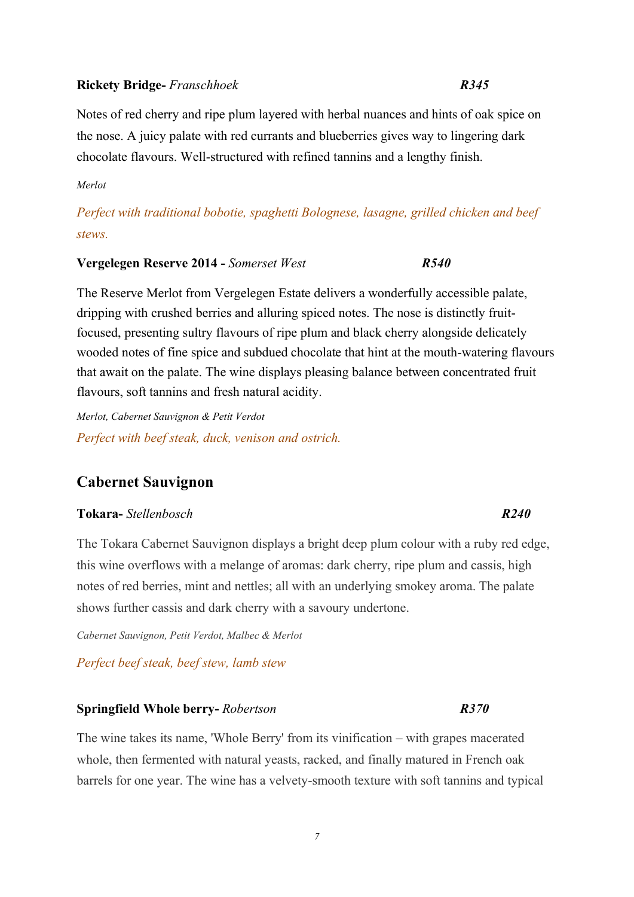#### **Rickety Bridge-** *Franschhoek R345*

Notes of red cherry and ripe plum layered with herbal nuances and hints of oak spice on the nose. A juicy palate with red currants and blueberries gives way to lingering dark chocolate flavours. Well-structured with refined tannins and a lengthy finish.

*Merlot*

*Perfect with traditional bobotie, spaghetti Bolognese, lasagne, grilled chicken and beef stews.*

#### **Vergelegen Reserve 2014 -***Somerset West R540*

The Reserve Merlot from Vergelegen Estate delivers a wonderfully accessible palate, dripping with crushed berries and alluring spiced notes. The nose is distinctly fruitfocused, presenting sultry flavours of ripe plum and black cherry alongside delicately wooded notes of fine spice and subdued chocolate that hint at the mouth-watering flavours that await on the palate. The wine displays pleasing balance between concentrated fruit flavours, soft tannins and fresh natural acidity.

*Merlot, Cabernet Sauvignon & Petit Verdot Perfect with beef steak, duck, venison and ostrich.*

# **Cabernet Sauvignon**

#### **Tokara-***Stellenbosch R240*

The Tokara Cabernet Sauvignon displays a bright deep plum colour with a ruby red edge, this wine overflows with a melange of aromas: dark cherry, ripe plum and cassis, high notes of red berries, mint and nettles; all with an underlying smokey aroma. The palate shows further cassis and dark cherry with a savoury undertone.

*Cabernet Sauvignon, Petit Verdot, Malbec & Merlot*

*Perfect beef steak, beef stew, lamb stew*

#### **Springfield Whole berry-** *Robertson R370*

The wine takes its name, 'Whole Berry' from its vinification – with grapes macerated whole, then fermented with natural yeasts, racked, and finally matured in French oak barrels for one year. The wine has a velvety-smooth texture with soft tannins and typical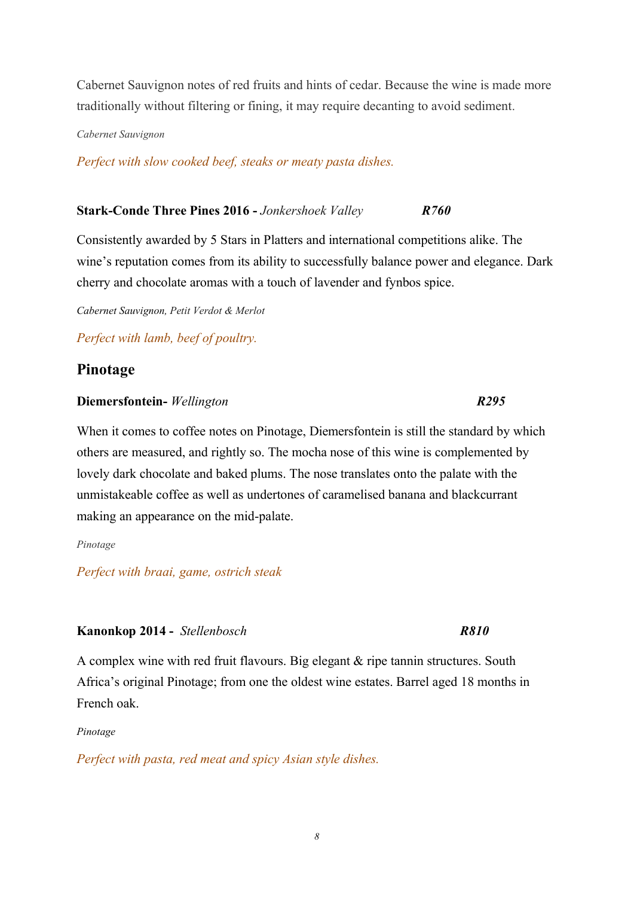Cabernet Sauvignon notes of red fruits and hints of cedar. Because the wine is made more traditionally without filtering or fining, it may require decanting to avoid sediment.

*Cabernet Sauvignon*

*Perfect with slow cooked beef, steaks or meaty pasta dishes.*

# **Stark-Conde Three Pines2016 -** *Jonkershoek Valley R760*

Consistently awarded by 5 Stars in Platters and international competitions alike. The wine's reputation comes from its ability to successfully balance power and elegance. Dark cherry and chocolate aromas with a touch of lavender and fynbos spice.

*Cabernet Sauvignon, Petit Verdot & Merlot*

*Perfect with lamb, beef of poultry.*

# **Pinotage**

#### **Diemersfontein-** *Wellington**R295*

When it comes to coffee notes on Pinotage, Diemersfontein is still the standard by which others are measured, and rightly so. The mocha nose of this wine is complemented by lovely dark chocolate and baked plums. The nose translates onto the palate with the unmistakeable coffee as well as undertones of caramelised banana and blackcurrant making an appearance on the mid-palate.

*Pinotage*

*Perfect with braai, game, ostrich steak*

#### **Kanonkop 2014 -** *Stellenbosch R810*

A complex wine with red fruit flavours. Big elegant & ripe tannin structures. South Africa's original Pinotage; from one the oldest wine estates. Barrel aged 18 months in French oak.

*Pinotage*

*Perfect with pasta, red meat and spicy Asian style dishes.*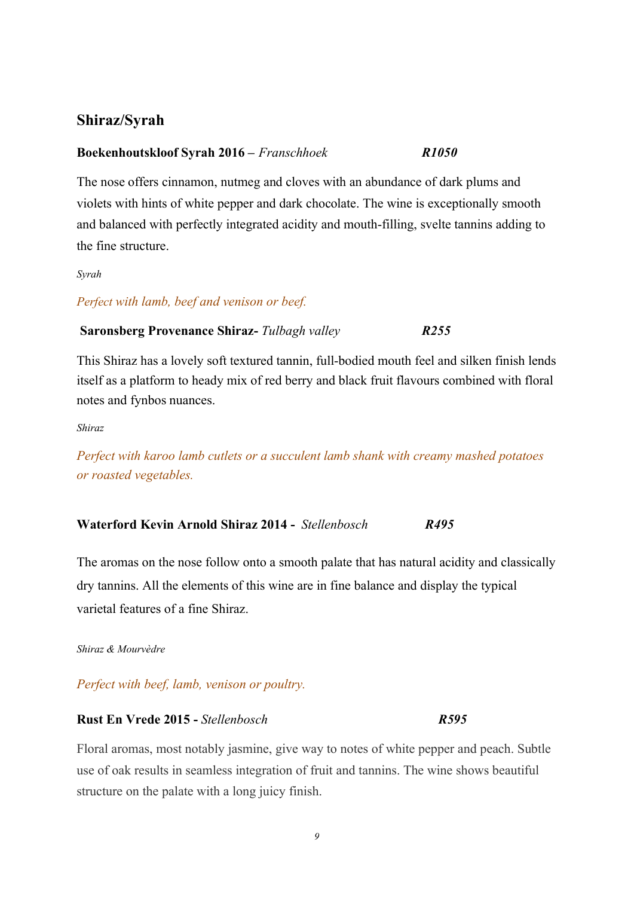# **Shiraz/Syrah**

#### **Boekenhoutskloof Syrah 2016 –** *Franschhoek R1050*

The nose offers cinnamon, nutmeg and cloves with an abundance of dark plums and violets with hints of white pepper and dark chocolate. The wine is exceptionally smooth and balanced with perfectly integrated acidity and mouth-filling, svelte tannins adding to the fine structure.

*Syrah*

#### *Perfect with lamb, beef and venison or beef.*

#### **Saronsberg Provenance Shiraz-** *Tulbagh valley R255*

This Shiraz has a lovely soft textured tannin, full-bodied mouth feel and silken finish lends itself as a platform to heady mix of red berry and black fruit flavours combined with floral notes and fynbos nuances.

*Shiraz*

*Perfect with karoo lamb cutlets or a succulent lamb shank with creamy mashed potatoes or roasted vegetables.*

#### **Waterford Kevin Arnold Shiraz2014 -** *Stellenbosch R495*

The aromas on the nose follow onto a smooth palate that has natural acidity and classically dry tannins. All the elements of this wine are in fine balance and display the typical varietal features of a fine Shiraz.

*Shiraz & Mourvèdre*

*Perfect with [beef,](https://www.vivino.com/wine-news/food-pairing/beef) lamb, venison or poultry.*

#### **Rust En Vrede 2015 -***Stellenbosch**R595*

Floral aromas, most notably jasmine, give way to notes of white pepper and peach. Subtle use of oak results in seamless integration of fruit and tannins. The wine shows beautiful structure on the palate with a long juicy finish.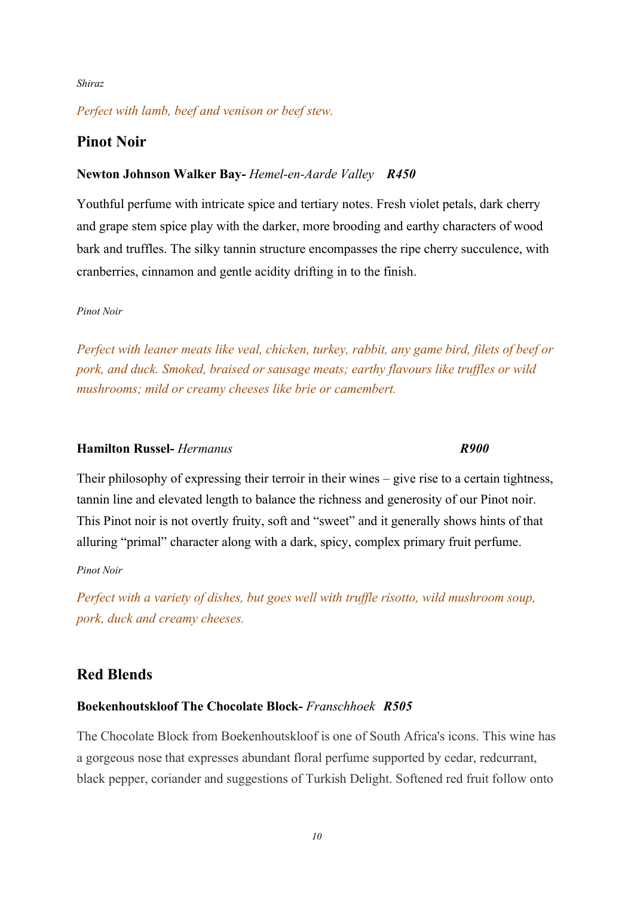#### *Shiraz*

### *Perfect with lamb, beef and venison or beef stew.*

# **Pinot Noir**

#### **Newton Johnson Walker Bay-** *Hemel-en-Aarde Valley R450*

Youthful perfume with intricate spice and tertiary notes. Fresh violet petals, dark cherry and grape stem spice play with the darker, more brooding and earthy characters of wood bark and truffles. The silky tannin structure encompasses the ripe cherry succulence, with cranberries, cinnamon and gentle acidity drifting in to the finish.

#### *Pinot Noir*

*Perfect with leaner meats like veal, chicken, turkey, rabbit, any game bird, filets of beef or pork, and duck. Smoked, braised or sausage meats; earthy flavours like truffles or wild mushrooms; mild or creamy cheeses like brie or camembert.*

## **Hamilton Russel-** *Hermanus R900*

Their philosophy of expressing their terroir in their wines – give rise to a certain tightness, tannin line and elevated length to balance the richness and generosity of our Pinot noir. This Pinot noir is not overtly fruity, soft and "sweet" and it generally shows hints of that alluring "primal" character along with a dark, spicy, complex primary fruit perfume.

*Pinot Noir*

*Perfect with a variety of dishes, but goes well with truffle risotto, wild mushroom soup, pork, duck and creamy cheeses.*

# **Red Blends**

### **Boekenhoutskloof The Chocolate Block-** *Franschhoek R505*

The Chocolate Block from Boekenhoutskloof is one of South Africa's icons. This wine has a gorgeous nose that expresses abundant floral perfume supported by cedar, redcurrant, black pepper, coriander and suggestions of Turkish Delight. Softened red fruit follow onto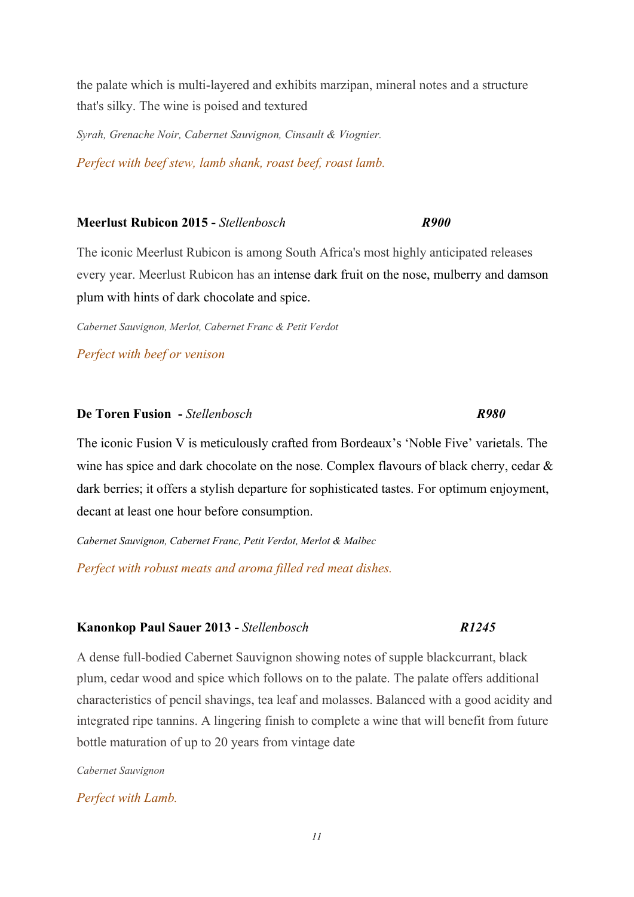the palate which is multi-layered and exhibits marzipan, mineral notes and a structure that's silky. The wine is poised and textured

*Syrah, Grenache Noir, Cabernet Sauvignon, Cinsault & Viognier. Perfect with beef stew, lamb shank, roast beef, roast lamb.*

#### **Meerlust Rubicon 2015 -***Stellenbosch R900*

The iconic Meerlust Rubicon is among South Africa's most highly anticipated releases every year. Meerlust Rubicon has an intense dark fruit on the nose, mulberry and damson plum with hints of dark chocolate and spice.

*Cabernet Sauvignon, Merlot, Cabernet Franc & Petit Verdot*

*Perfect with beef or venison*

#### **De Toren Fusion -***Stellenbosch**R980*

The iconic Fusion V is meticulously crafted from Bordeaux's 'Noble Five' varietals. The wine has spice and dark chocolate on the nose. Complex flavours of black cherry, cedar  $\&$ dark berries; it offers a stylish departure for sophisticated tastes. For optimum enjoyment, decant at least one hour before consumption.

*Cabernet Sauvignon, Cabernet Franc, Petit Verdot, Merlot & Malbec*

*Perfect with robust meats and aroma filled red meat dishes.*

#### **Kanonkop Paul Sauer2013 -***Stellenbosch R1245*

A dense full-bodied Cabernet Sauvignon showing notes of supple blackcurrant, black plum, cedar wood and spice which follows on to the palate. The palate offers additional characteristics of pencil shavings, tea leaf and molasses. Balanced with a good acidity and integrated ripe tannins. A lingering finish to complete a wine that will benefit from future bottle maturation of up to 20 years from vintage date

*Cabernet Sauvignon*

*Perfect with Lamb.*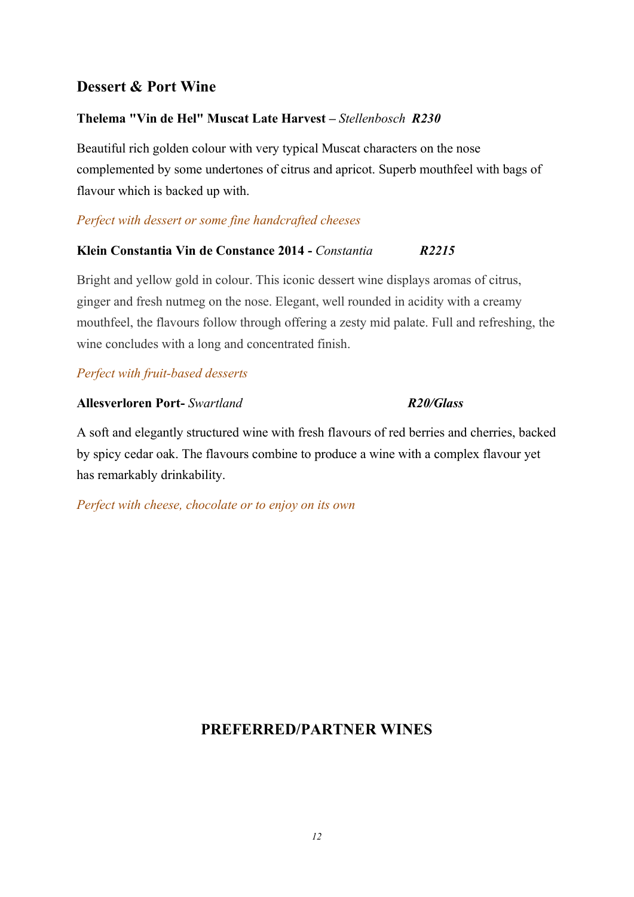# **Dessert & Port Wine**

# **Thelema "Vin de Hel" Muscat Late Harvest** *–Stellenbosch R230*

Beautiful rich golden colour with very typical Muscat characters on the nose complemented by some undertones of citrus and apricot. Superb mouthfeel with bags of flavour which is backed up with.

# *Perfect with dessert or some fine handcrafted cheeses*

# **Klein Constantia Vin de Constance 2014 -** *Constantia**R2215*

Bright and yellow gold in colour. This iconic dessert wine displays aromas of citrus, ginger and fresh nutmeg on the nose. Elegant, well rounded in acidity with a creamy mouthfeel, the flavours follow through offering a zesty mid palate. Full and refreshing, the wine concludes with a long and concentrated finish.

# *Perfect with [fruit-based desserts](https://www.wine-searcher.com/food-wine-34-fruit-based-desserts)*

### **Allesverloren Port-***Swartland**R20/Glass*

A soft and elegantly structured wine with fresh flavours of red berries and cherries, backed by spicy cedar oak. The flavours combine to produce a wine with a complex flavour yet has remarkably drinkability.

*Perfect with cheese, chocolate or to enjoy on its own* 

# **PREFERRED/PARTNER WINES**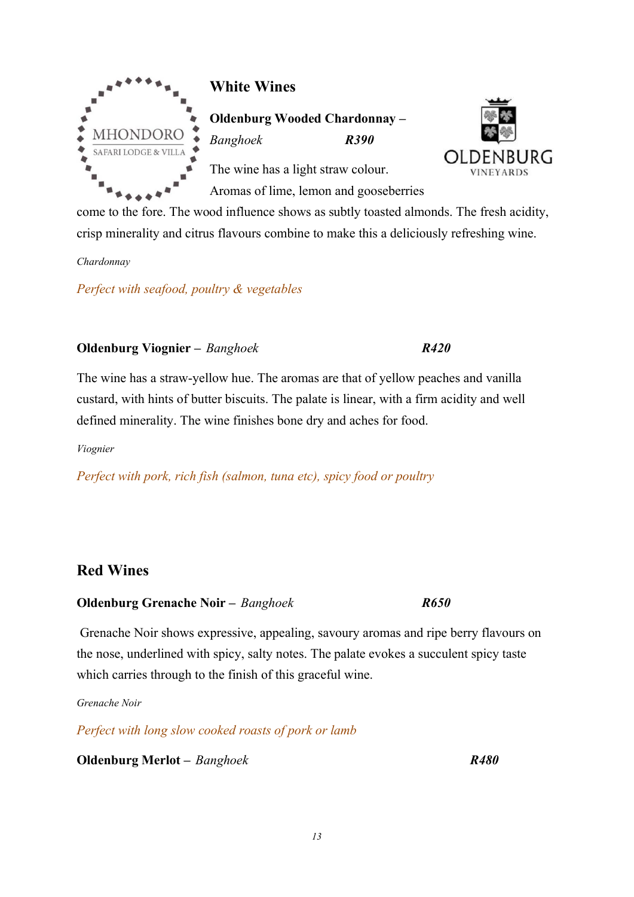

# **White Wines**

**Oldenburg Wooded Chardonnay –** *Banghoek R390*

The wine has a light straw colour. Aromas of lime, lemon and gooseberries



come to the fore. The wood influence shows as subtly toasted almonds. The fresh acidity, crisp minerality and citrus flavours combine to make this a deliciously refreshing wine.

*Chardonnay*

*Perfect with seafood, poultry & vegetables* 

# **Oldenburg Viognier –** *Banghoek R420*

The wine has a straw-yellow hue. The aromas are that of yellow peaches and vanilla custard, with hints of butter biscuits. The palate is linear, with a firm acidity and well defined minerality. The wine finishes bone dry and aches for food.

*Viognier*

*Perfect with pork, rich fish (salmon, tuna etc), spicy food or poultry*

# **Red Wines**

# **Oldenburg Grenache Noir –** *Banghoek R650*

Grenache Noir shows expressive, appealing, savoury aromas and ripe berry flavours on the nose, underlined with spicy, salty notes. The palate evokes a succulent spicy taste which carries through to the finish of this graceful wine.

*Grenache Noir*

*Perfect with long slow cooked roasts of pork or lamb*

**Oldenburg Merlot –** *Banghoek R480*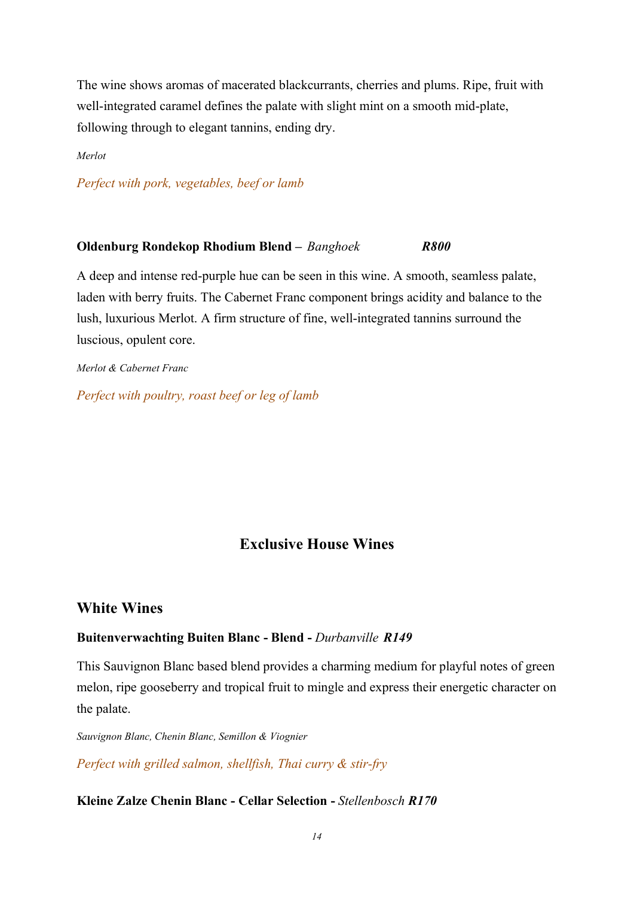The wine shows aromas of macerated blackcurrants, cherries and plums. Ripe, fruit with well-integrated caramel defines the palate with slight mint on a smooth mid-plate, following through to elegant tannins, ending dry.

*Merlot*

*Perfect with pork, vegetables, beef or lamb*

#### **Oldenburg Rondekop Rhodium Blend –** *Banghoek R800*

A deep and intense red-purple hue can be seen in this wine. A smooth, seamless palate, laden with berry fruits. The Cabernet Franc component brings acidity and balance to the lush, luxurious Merlot. A firm structure of fine, well-integrated tannins surround the luscious, opulent core.

*Merlot & Cabernet Franc*

*Perfect with poultry, roast beef or leg of lamb*

# **Exclusive House Wines**

#### **White Wines**

#### **Buitenverwachting Buiten Blanc - Blend -** *Durbanville R149*

This Sauvignon Blanc based blend provides a charming medium for playful notes of green melon, ripe gooseberry and tropical fruit to mingle and express their energetic character on the palate.

*Sauvignon Blanc, Chenin Blanc, Semillon & Viognier*

*Perfect with grilled salmon, shellfish, Thai curry & stir-fry*

# **Kleine Zalze Chenin Blanc - Cellar Selection -***Stellenbosch R170*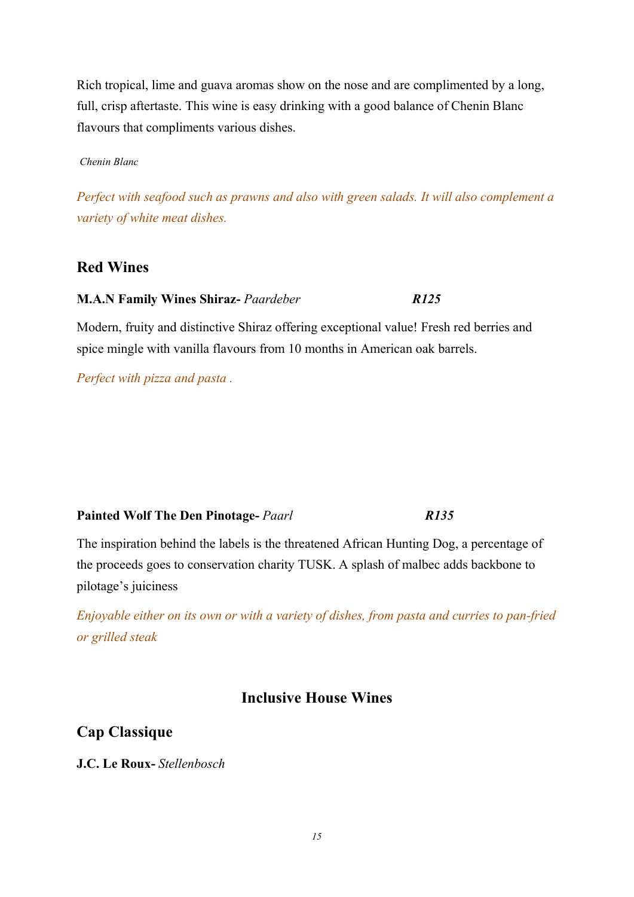Rich tropical, lime and guava aromas show on the nose and are complimented by a long, full, crisp aftertaste. This wine is easy drinking with a good balance of Chenin Blanc flavours that compliments various dishes.

*Chenin Blanc* 

*Perfect with seafood such as prawns and also with green salads. It will also complement a variety of white meat dishes.*

# **Red Wines**

## **M.A.N Family Wines Shiraz-** *Paardeber R125*

Modern, fruity and distinctive Shiraz offering exceptional value! Fresh red berries and spice mingle with vanilla flavours from 10 months in American oak barrels.

*Perfect with pizza and pasta .*

#### **Painted Wolf The Den Pinotage-** *Paarl R135*

The inspiration behind the labels is the threatened African Hunting Dog, a percentage of the proceeds goes to conservation charity TUSK. A splash of malbec adds backbone to pilotage's juiciness

*Enjoyable either on its own or with a variety of dishes, from pasta and curries to pan-fried or grilled steak*

# **Inclusive House Wines**

**Cap Classique** 

**J.C. Le Roux-***Stellenbosch*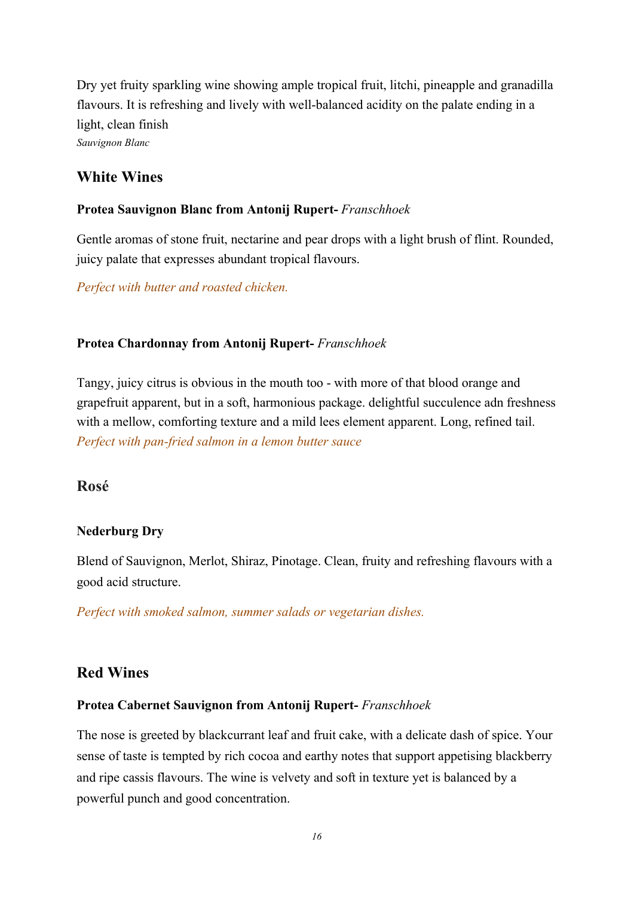Dry yet fruity sparkling wine showing ample tropical fruit, litchi, pineapple and granadilla flavours. It is refreshing and lively with well-balanced acidity on the palate ending in a light, clean finish *Sauvignon Blanc*

# **White Wines**

## **Protea Sauvignon Blanc from Antonij Rupert-** *Franschhoek*

Gentle aromas of stone fruit, nectarine and pear drops with a light brush of flint. Rounded, juicy palate that expresses abundant tropical flavours.

*Perfect with butter and roasted chicken.*

### **Protea Chardonnay from Antonij Rupert-** *Franschhoek*

Tangy, juicy citrus is obvious in the mouth too - with more of that blood orange and grapefruit apparent, but in a soft, harmonious package. delightful succulence adn freshness with a mellow, comforting texture and a mild lees element apparent. Long, refined tail. *Perfect with pan-fried salmon in a lemon butter sauce*

# **Rosé**

# **Nederburg Dry**

Blend of Sauvignon, Merlot, Shiraz, Pinotage. Clean, fruity and refreshing flavours with a good acid structure.

*Perfect with smoked salmon, summer salads or vegetarian dishes.*

# **Red Wines**

#### **Protea Cabernet Sauvignon from Antonij Rupert-** *Franschhoek*

The nose is greeted by blackcurrant leaf and fruit cake, with a delicate dash of spice. Your sense of taste is tempted by rich cocoa and earthy notes that support appetising blackberry and ripe cassis flavours. The wine is velvety and soft in texture yet is balanced by a powerful punch and good concentration.